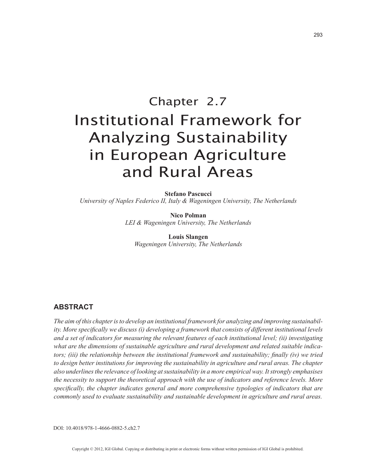# Chapter 2.7 Institutional Framework for Analyzing Sustainability in European Agriculture and Rural Areas

**Stefano Pascucci**

*University of Naples Federico II, Italy & Wageningen University, The Netherlands*

**Nico Polman** *LEI & Wageningen University, The Netherlands*

**Louis Slangen** *Wageningen University, The Netherlands*

## **ABSTRACT**

*The aim of this chapter is to develop an institutional framework for analyzing and improving sustainability. More specifically we discuss (i) developing a framework that consists of different institutional levels and a set of indicators for measuring the relevant features of each institutional level; (ii) investigating what are the dimensions of sustainable agriculture and rural development and related suitable indicators; (iii) the relationship between the institutional framework and sustainability; finally (iv) we tried to design better institutions for improving the sustainability in agriculture and rural areas. The chapter also underlines the relevance of looking at sustainability in a more empirical way. It strongly emphasises the necessity to support the theoretical approach with the use of indicators and reference levels. More specifically, the chapter indicates general and more comprehensive typologies of indicators that are commonly used to evaluate sustainability and sustainable development in agriculture and rural areas.*

DOI: 10.4018/978-1-4666-0882-5.ch2.7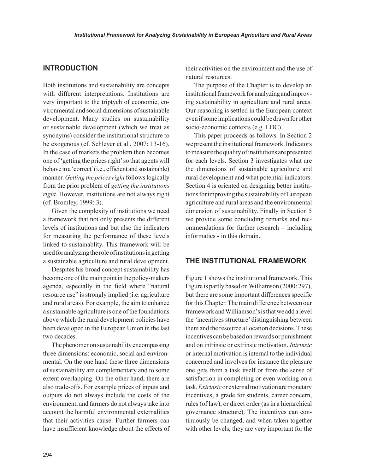## **INTRODUCTION**

Both institutions and sustainability are concepts with different interpretations. Institutions are very important to the triptych of economic, environmental and social dimensions of sustainable development. Many studies on sustainability or sustainable development (which we treat as synonyms) consider the institutional structure to be exogenous (cf. Schleyer et al., 2007: 13-16). In the case of markets the problem then becomes one of 'getting the prices right' so that agents will behave in a 'correct' (i.e., efficient and sustainable) manner. *Getting the prices right* follows logically from the prior problem of *getting the institutions right.* However, institutions are not always right (cf. Bromley, 1999: 3).

Given the complexity of institutions we need a framework that not only presents the different levels of institutions and but also the indicators for measuring the performance of these levels linked to sustainablity. This framework will be used for analyzing the role of institutions in getting a sustainable agriculture and rural development.

Despites his broad concept sustainability has become one of the main point in the policy-makers agenda, especially in the field where "natural resource use" is strongly implied (i.e. agriculture and rural areas). For example, the aim to enhance a sustainable agriculture is one of the foundations above which the rural development policies have been developed in the European Union in the last two decades.

The phenomenon sustainability encompassing three dimensions: economic, social and environmental. On the one hand these three dimensions of sustainability are complementary and to some extent overlapping. On the other hand, there are also trade-offs. For example prices of inputs and outputs do not always include the costs of the environment, and farmers do not always take into account the harmful environmental externalities that their activities cause. Further farmers can have insufficient knowledge about the effects of their activities on the environment and the use of natural resources.

The purpose of the Chapter is to develop an institutional framework for analyzing and improving sustainability in agriculture and rural areas. Our reasoning is settled in the European context even if some implications could be drawn for other socio-economic contexts (e.g. LDC).

This paper proceeds as follows. In Section 2 we present the institutional framework. Indicators to measure the quality of institutions are presented for each levels. Section 3 investigates what are the dimensions of sustainable agriculture and rural development and what potential indicators. Section 4 is oriented on designing better institutions for improving the sustainability of European agriculture and rural areas and the environmental dimension of sustainability. Finally in Section 5 we provide some concluding remarks and recommendations for further research – including informatics - in this domain.

## **THE INSTITUTIONAL FRAMEWORK**

Figure 1 shows the institutional framework. This Figure is partly based on Williamson (2000: 297), but there are some important differences specific for this Chapter. The main difference between our framework and Williamson's is that we add a level the 'incentives structure' distinguishing between them and the resource allocation decisions. These incentives can be based on rewards or punishment and on intrinsic or extrinsic motivation. *Intrinsic* or internal motivation is internal to the individual concerned and involves for instance the pleasure one gets from a task itself or from the sense of satisfaction in completing or even working on a task. *Extrinsic* or external motivation are monetary incentives, a grade for students, career concern, rules (of law), or direct order (as in a hierarchical governance structure). The incentives can continuously be changed, and when taken together with other levels, they are very important for the